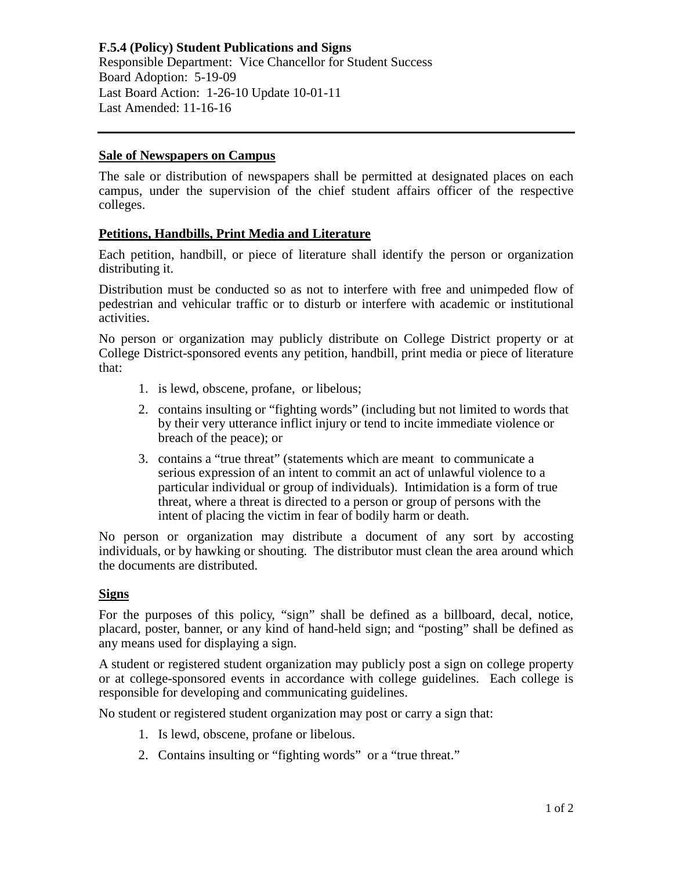## **Sale of Newspapers on Campus**

The sale or distribution of newspapers shall be permitted at designated places on each campus, under the supervision of the chief student affairs officer of the respective colleges.

## **Petitions, Handbills, Print Media and Literature**

Each petition, handbill, or piece of literature shall identify the person or organization distributing it.

Distribution must be conducted so as not to interfere with free and unimpeded flow of pedestrian and vehicular traffic or to disturb or interfere with academic or institutional activities.

No person or organization may publicly distribute on College District property or at College District-sponsored events any petition, handbill, print media or piece of literature that:

- 1. is lewd, obscene, profane, or libelous;
- 2. contains insulting or "fighting words" (including but not limited to words that by their very utterance inflict injury or tend to incite immediate violence or breach of the peace); or
- 3. contains a "true threat" (statements which are meant to communicate a serious expression of an intent to commit an act of unlawful violence to a particular individual or group of individuals). Intimidation is a form of true threat, where a threat is directed to a person or group of persons with the intent of placing the victim in fear of bodily harm or death.

No person or organization may distribute a document of any sort by accosting individuals, or by hawking or shouting. The distributor must clean the area around which the documents are distributed.

## **Signs**

For the purposes of this policy, "sign" shall be defined as a billboard, decal, notice, placard, poster, banner, or any kind of hand-held sign; and "posting" shall be defined as any means used for displaying a sign.

A student or registered student organization may publicly post a sign on college property or at college-sponsored events in accordance with college guidelines. Each college is responsible for developing and communicating guidelines.

No student or registered student organization may post or carry a sign that:

- 1. Is lewd, obscene, profane or libelous.
- 2. Contains insulting or "fighting words" or a "true threat."